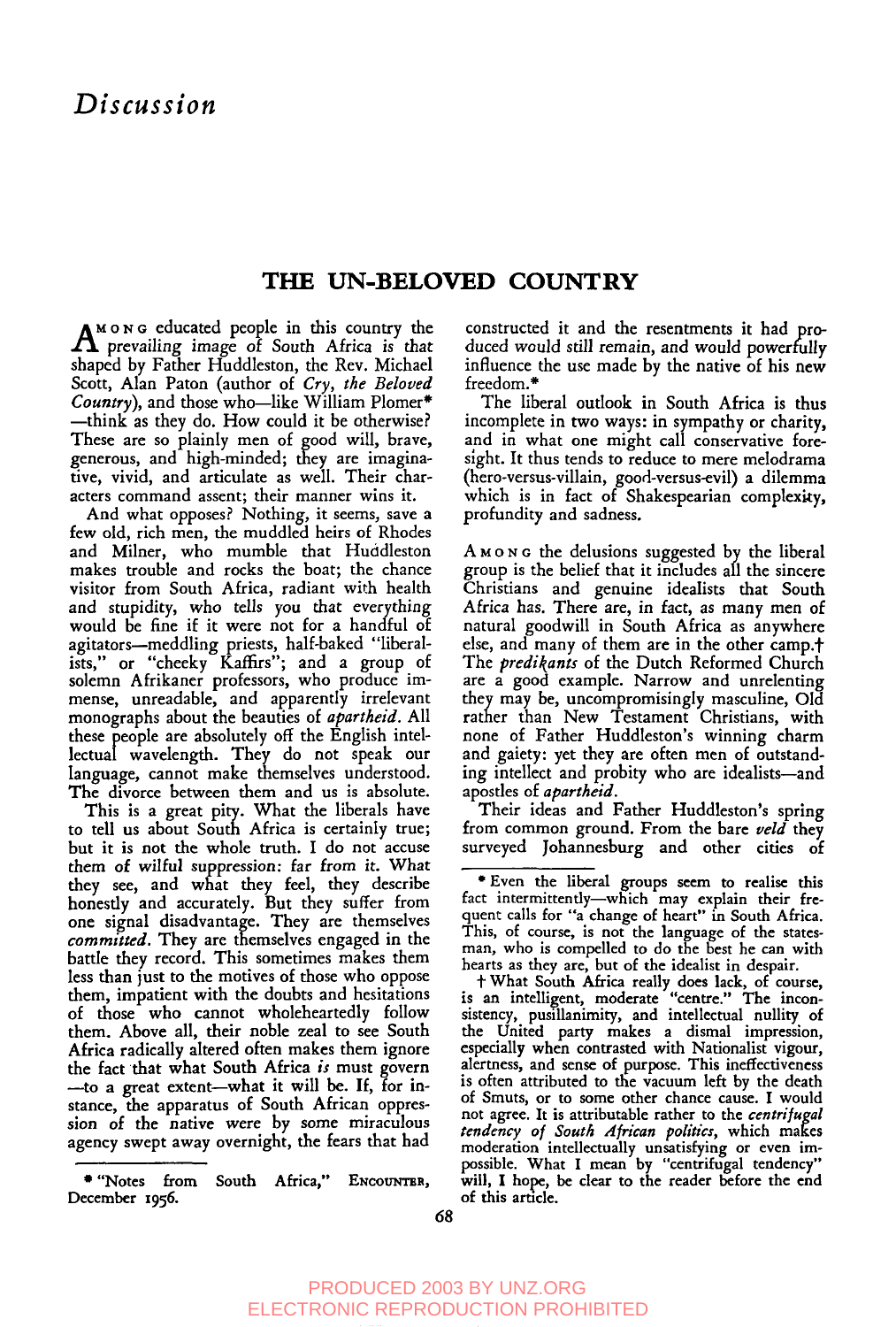## **THE UN-BELOVED COUNTRY**

 $A^{M \text{ o } N \text{ o }$  educated people in this country the prevailing image of South Africa is that shaped by Father Huddleston, the Rev. Michael Scott, Alan Paton (author of *Cry, the Beloved Country),* and those who~like William Plomer\* --think as they do. How could it be otherwise? These are so plainly men of good will, brave, generous, and high-minded; they are imaginative, vivid, and articulate as well. Their characters command assent; their manner wins it.

And what opposes? Nothing, it seems, save a few old, rich men, the muddled heirs of Rhodes and Milner, who mumble that Huddleston makes trouble and rocks the boat; the chance visitor from South Africa, radiant with health and stupidity, who tells you that everything would be fine if it were not for a handful of agitators—meddling priests, half-baked ''libera ists," or "cheeky Kaffirs"; and a group of solemn Afrikaner professors, who produce immense, unreadable, and apparently irrelevant monographs about the beauties of *apartheid.* All these people are absolutely off the English intellectual wavelength. They do not speak our language, cannot make themselves understood. The divorce between them and us is absolute.

This is a great pity. What the liberals have to tell us about South Africa is certainly true; but it is not the whole truth. I do not accuse them of wilful *suppression:* far from it. What they see, and what they feel, they describe honestly and accurately. But they suffer from one signal disadvantage. They are themselve *committed.* They are themselves engaged in the battle they record. This sometimes makes them less than just to the motives of those who oppose them, impatient with the doubts and hesitations of those who cannot wholeheartedly follow them. Above all, their noble zeal to see South Africa radically altered often makes them ignore the fact that what South Africa *is* must govern -- to a great extent-what it will be. If, for instance, the apparatus of South African oppression of the native were by some miraculous agency swept away overnight, the fears that had

constructed it and the resentments it had produced would still remain, and would powerfully influence the use made by the native of his new freedom.\*

The liberal outlook in South Africa is thus incomplete in two ways: in sympathy or charity, and in what one might call conservative foresight. It thus tends to reduce to mere melodrama (hero-versus-villain, good-versus-evil) a dilemma which is in fact of Shakespearian complexity, profundity and sadness.

 $A$   $M$   $\circ$   $N$  or the delusions suggested by the liberal group is the belief that it includes all the sincere Christians and genuine idealists that South Africa has. There are, in fact, as many men of natural goodwill in South Africa as anywhere else, and many of them are in the other camp.<sup>+</sup> The *predikants* of the Dutch Reformed Church are a good example. Narrow and unrelenting they may be, uncompromisingly masculine, Old rather than New Testament Christians, with none of Father Huddleston's winning charm and gaiety: yet they are often men of outstanding intellect and probity who are idealists--and aposdes of *apartheid.*

Their ideas and Father Huddleston's spring from common ground. From the bare *ueld* they surveyed Johannesburg and other cities of

<sup>\* &</sup>quot;Notes from South Africa," ENCOUNTER, December 1956.

<sup>\*</sup> Even the liberal groups seem to realise this fact intermittently-which may explain their fre quent calls for "a change of heart" in South Africa. This, of course, is not the language of the statesman, who is compelled to do the best he can with hearts as they are, but of the idealist in despair.

<sup>†</sup> What South Africa really does lack, of course, is an intelligent, moderate "centre." The inconsistency, pusillanimity, and intellectual nullity of the United party makes a dismal impression, especially when contrasted with Nationalist vigour, alertness, and sense of purpose. This ineffectiveness is often attributed to the vacuum left by the death of Smuts, or to some other chance cause. I would not agree. It is attributable rather to the *centri/ugal tendency of South African politics*, which makes<br>moderation intellectually unsatisfying or even impossible. What I mean by "centrifugal tendency" will, I hope, be clear to the reader before the end of this article.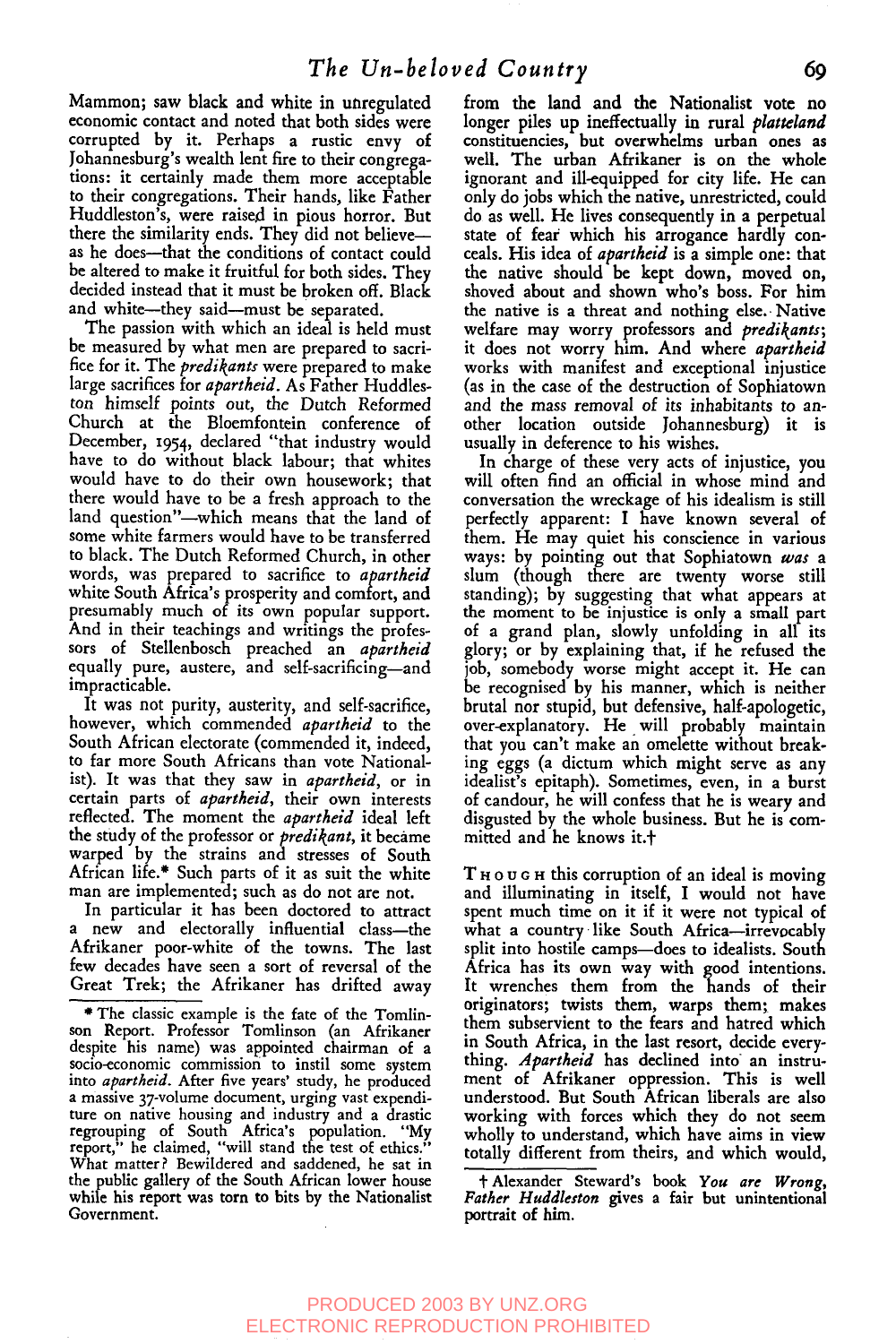Mammon; saw black and white in unregulated economic contact and noted that both sides were corrupted by it. Perhaps a rustic envy of Johannesburg's wealth lent fire to their congregations: it certainly made them more acceptable to their congregations. Their hands, like Father Huddleston's, were raised in pious horror. But there the similarity ends. They did not believe- as he does--that the conditions of contact could be altered to make it fruitful for both sides. They decided instead that it must be broken off. Black and white-they said-must be separated.

The passion with which an ideal is held must be measured by what men are prepared to sacrifice for it. The *predikants* were prepared to make large sacrifices for *apartheid*. As Father Huddleston himself points out, the Dutch Reformed Church at the B1oemfontein conference of December, i954, declared "that industry would have to do without black labour; that whites would have to do their own housework; that there would have to be a fresh approach to the land question"-which means that the land of some white farmers would have to be transferred to black. The Dutch Reformed Church, in other words, was prepared to sacrifice to *apartheid* white South Africa's prosperity and comfort, and presumably much of its own popular support. And in their teachings and writings the professors of Stellenbosch preached an *apartheid* equally pure, austere, and self-sacrificing--and impracticable.

It was not purity, austerity, and self-sacrifice, however, which commended *apartheid* to the South African electorate (commended it, indeed, to far more South Africans than vote Nationalist). It was that they saw in *apartheid,* or in certain parts of *apartheid,* their own interests reflected. The moment the *apartheid* ideal left the study of the professor or *predikant*, it became warped by the strains and stresses of South African life.\* Such parts of it as suit the white man are implemented; such as do not are not.

In particular it has been doctored to attract a new and electorally influential class--the Afrikaner poor-white of the towns. The last few decades have seen a sort of reversal of the Great Trek; the Afrikaner has drifted away from the land and the Nationalist vote no longer piles up ineffectually in rural *platteland* constituencies, but overwhelms urban ones as well. The urban Afrikaner is on the whole ignorant and ill-equipped for city life. He can only do jobs which the native, unrestricted, could do as well. He lives consequently in a perpetual state of feat which his arrogance hardly conceals. His idea of *apartheid* is a simple one: that the native should be kept down, moved on, shoved about and shown who's boss. For him the native is a threat and nothing else. Native welfare may worry professors and *predil(ants;* it does not worry him. And where *apartheid* works with manifest and exceptional injustice (as in the case of the destruction of Sophiatown and the mass removal of its inhabitants to another location outside Johannesburg) it is usually in deference to his wishes.

In charge of these very acts of injustice, you will often find an official in whose mind and conversation the wreckage of his idealism is still perfectly apparent: I have known several of them. He may quiet his conscience in various ways: by pointing out that Sophiatown *was a* slum (though there are twenty worse still standing); by suggesting that what appears at the moment to be injustice is only a small part of a grand plan, slowly unfolding in all its glory; or by explaining that, if he refused the job, somebody worse might accept it. He can be recognised by his manner, which is neither brutal nor stupid, but defensive, half-apologetic, over-explanatory. He will probably maintain that you can't make an omelette without breaking eggs (a dictum which might serve as any idealist's epitaph). Sometimes, even, in a burst of candour, he will confess that he is weary and disgusted by the whole business. But he is committed and he knows it.<sup>+</sup>

 $T_{\rm H0}$  u  $G_{\rm H0}$  this corruption of an ideal is moving and illuminating in itself, I would not have spent much time on it if it were not typical of what a country like South Africa--irrevocably split into hostile camps-does to idealists. South Africa has its own way with good intentions. It wrenches them from the hands of their originators; twists them, warps them; makes them subservient to the fears and hatred which in South Africa, in the last resort, decide everything. *Apartheid* has declined into an instrument of Afrikaner oppression. This is well understood. But South African liberals are also working with forces which they do not seem wholly to understand, which have aims in view totally different from theirs, and which would,

~Alexander Steward's book *You are Wrong, Father Huddleston* gives a fair but unintentional portrait of him.

<sup>~</sup> The classic example is the fate of the Tomlinson Report. Professor Tomlinson (an Afrikaner despite his name) was appointed chairman of socio-economic commission to instil some system into *apartheid.* After five years' study, he produced a massive 37-volume document, urging vast expenditure on native housing and industry and a drastic regrouping of South Africa's population. "My report," he claimed, "will stand the test of ethics." What matter ? Bewildered and saddened, he sat in the public gallery of the South African lower house while his report was torn to bits by the Nationalist Government.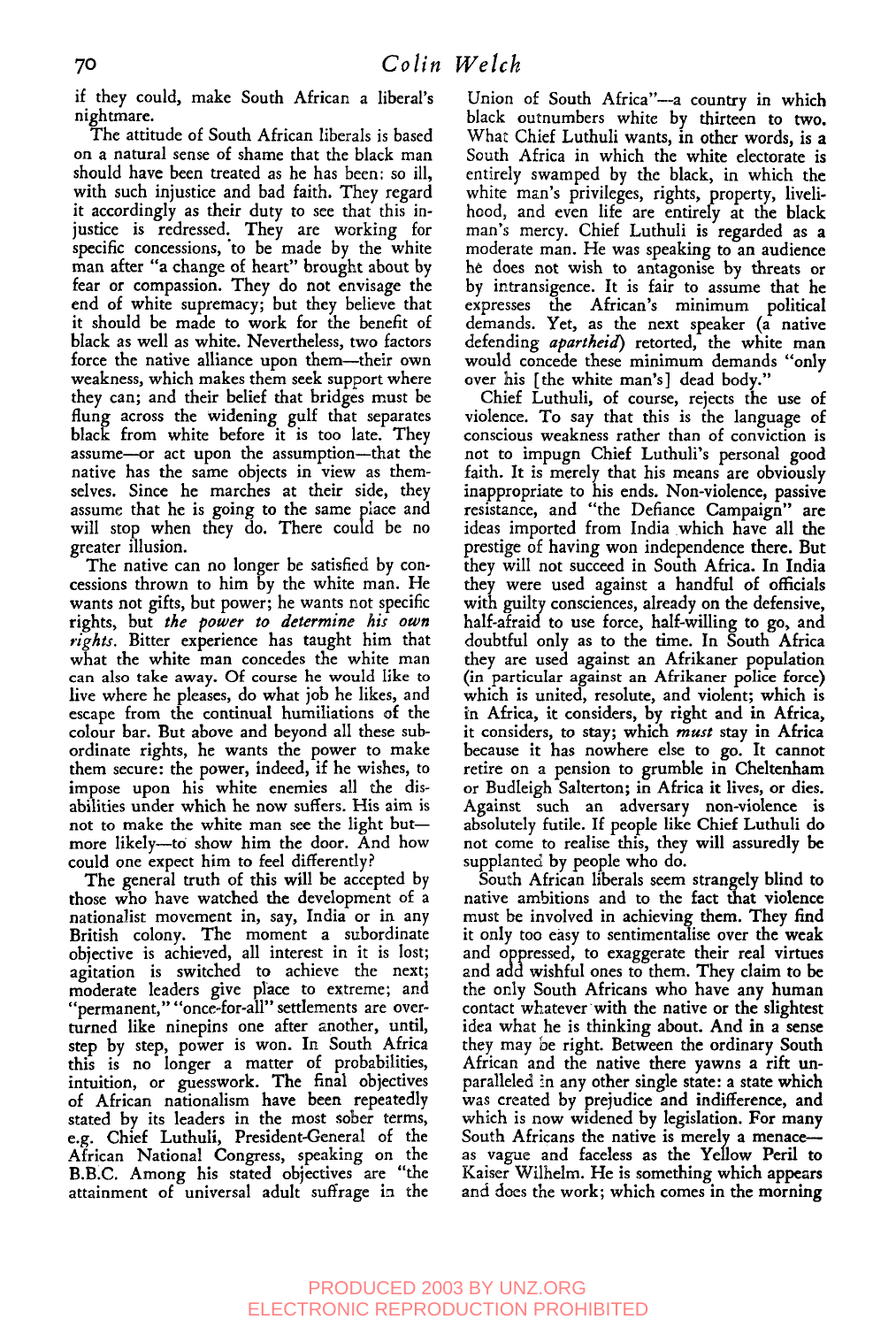if they could, make South African a liberal's nightmare.

The attitude of South African liberals is based on a natural sense of shame that the black man should have been treated as he has been: so ill, with such injustice and bad faith. They regard it accordingly as their duty to see that this injustice is redressed. They are working for specific concessions, to be made by the white man after "a change of heart" brought about by fear or compassion. They do not envisage the end. of white supremacy; but they believe that it should be made to work for the benefit of black as well as white. Nevertheless, two factors force the native alliance upon them--their own weakness, which makes them seek support where they can; and their belief that bridges must be flung across the widening gulf that separates black from white before it is too late. They assume--or act upon the assumption--that the native has the same objects in view as themselves. Since he marches at their side, they assume that he is going to the same place and will stop when they do. There could be no greater illusion.

The native can no longer be satisfied by concessions thrown to him by the white man. He wants not gifts, but power; he wants not specific rights, but *the power to determine his own rights.* Bitter experience has taught him that what the white man concedes the white man can also take away. Of course he would like to live where he pleases, do what job he likes, and escape from the continual humiliations of the colour bar. But above and beyond all these subordinate rights, he wants the power to make them secure: the power, indeed, if he wishes, to impose upon his white enemies all the disabilities under which he now suffers. His aim is not to make the white man see the light but-more likely--to show him the door. And how could one expect him to feel differently?

The general truth of this will be accepted by those who have watched the development of a nationalist movement in, say, India or in any British colony. The moment a subordinate objective is achieved, all interest in it is lost; agitation is switched to achieve the next; moderate leaders give place to extreme; and "permanent," "once-for-all" settlements are overturned like ninepins one after another, until, step by step, power is won. In South Africa this is no longer a matter of probabilities, intuition, or guesswork. The final objectives of African nationalism have been repeatedly stated by its leaders in the most sober terms, e.g. Chief Luthuli, President-General of the African National Congress, speaking on the B.B.C. Among his stated objectives are "the attainment of universal adult suffrage in the

Union of South Africa"--a country in which black outnumbers white by thirteen to two. What Chief Luthuli wants, in other words, is a South Africa in which the white electorate is entirely swamped by the black, in which the white man's privileges, rights, property, livelihood, and even life are entirely at the black man's mercy. Chief Luthuli is regarded as a moderate man. He was speaking to an audience he does not wish to antagonise by threats or by intransigence. It is fair to assume that he expresses the African's minimum political demands. Yet, as the next speaker (a native defending *apartheid*) retorted, the white man would concede these minimum demands 'only over his [the white man's] dead body."

Chief Luthuli, of course, rejects the use of violence. To say that this is the language of conscious weakness rather than of conviction is not to impugn Chief Luthuli's personal good faith. It is merely that his means are obviously inappropriate to his ends. Non-violence, passive resistance, and "the Defiance Campaign" are ideas imported from India which have all the prestige of having won independence there. But<br>they will not succeed in South Africa. In India they were used against a handful of officials with guilty consciences, already on the defensive, half-afraid to use force, half-willing to go, and doubtful only as to the time. In South Africa they are used against an Afrikaner population (in particular against an Afrikaner police force) which is united, resolute, and violent; which is in Africa, it considers, by right and in Africa, it considers, to stay; which *must* stay in Africa because it has nowhere else to go. It cannot retire on a pension to grumble in Cheltenham or Budleigh Salterton; in Africa it lives, or dies. Against such an adversary non-violence is absolutely futile. If people like Chief Luthuli do not come to realise this, they will assuredly be supplanted by people who do.

South African liberals seem strangely blind to native ambitions and to the fact that violence must be involved in achieving them. They find it only too easy to sentimentalise over the weak and oppressed, to exaggerate their real virtues and add wishful ones to them. They claim to be the only South Africans who have any human contact whatever with the native or the slightest idea what he is thinking about. And in a sense they may be right. Between the ordinary South African and the native there yawns a rift unparalleled in any other single state: a state which was created by prejudice and indifference, and which is now widened by legislation. For many South Africans the native is merely a menace- as vague and faceless as the Yellow Peril to Kaiser Wilhelm. He is something which appezrs and does the work; which comes in the morning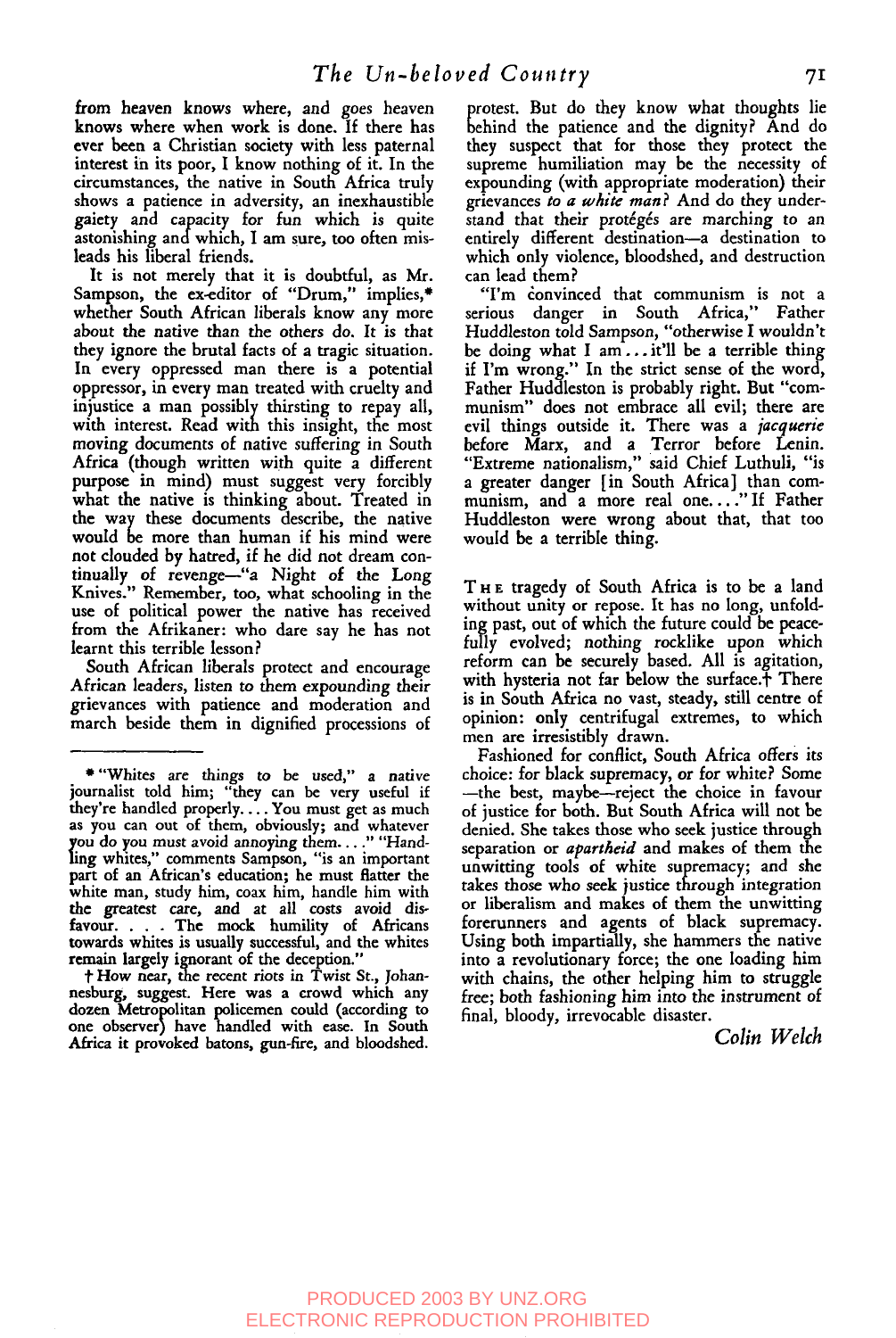from heaven knows where, and goes heaven knows where when work is done. If there has ever been a Christian society with less paternal interest in its poor, I know nothing of it. In the circumstances, the native in South Africa truly shows a patience in adversity, an inexhaustible gaiety and capacity for fun which is quite astonishing andwhich, I am sure, too often misleads his liberal friends.

It is not merely that it is doubtful, as Mr. Sampson, the ex-editor of "Drum," implies,\* whether South African liberals know any more about the native than the others do. It is that they ignore the brutal facts of a tragic situation. In every oppressed man there is a potential oppressor, in every man treated with cruelty and iniustice a man possibly thirsting to repay all, with interest. Read with this insight, the most moving documents of native suffering in South Africa (though written with quite a different purpose in mind) must suggest very forcibly what the native is thinking about. Treated in the way these documents describe, the native would be more than human if his mind were not clouded by hatred, if he did not dream continually of revenge-"a Night of the Long Knives." Remember, too, what schooling in the use of political power the native has received from the Afrikaner: who dare say he has not learnt this terrible lesson ?

South African liberals protect and encourage African leaders, listen to them expounding their grievances with patience and moderation and march beside them in dignified processions of

f How near, the recent riots in Twist St., Johannesburg, suggest. Here was a crowd which any dozen Metropolitan policemen could (according to one observer) have handled with ease. In South Africa it provoked batons, gun-fire, and bloodshed.

protest. But do they know what thoughts li<br>behind the patience and the dignity? And do behind the patience and the dignity? And do they suspect that for those they protect the supreme humiliation may. be the necessity of expounding (with appropriate moderation) their grievances *to a white man?* And do they understand that their protégés are marching to an entirely different destination-a destination to which only violence, bloodshed, and destruction can lead them?

'Tin donvinced that communism is not a serious danger in South Africa," Father Huddleston told Sampson, "otherwise I wouldn't be doing what I am... it'll be a terrible thing if I'm wrong." In the strict sense of the word, Father Huddleston is probably right. But "communism" does not embrace all evil; there are evil things outside it. There was a *jacquerie* before Marx, and a Terror before Lenin. "Extreme nationalism," said Chief Luthuli, "is a greater danger [in South Africa] than communism, and a more real one...." If Father Huddleston were wrong about that, that too would be a terrible thing.

THE tragedy of South Africa is to be a land without unity or repose. It has no long, unfolding past, out of which the future could be peacefully evolved; nothing rocklike upon which reform can be securely based. All is agitation, with hysteria not far below the surface.<sup>†</sup> There is in South Africa no vast, steady, still centre of opinion: only centrifugal extremes, to which men are irresistibly drawn.

en are irresistibly drawn.<br>Fashioned for conflict, South Africa offers it choice: for black supremacy, or for white? Some --the best, maybe--reject the choice in favour of justice for both. But South Africa will not be denied. She takes those who seek justice through separation or *apartheid* and makes of them the unwitting tools of white supremacy; and she takes those who seek justice through integration or liberalism and makes of them the unwitting forerunners and agents of black supremacy. Using both impartially, she hammers the native into a revolutionary force; the one loading him with chains, the other helping him to struggle free; both fashioning him into the instrument of final, bloody, irrevocable disaster.

*Colin Welch*

<sup>\* &</sup>quot;Whites are things to be used," a native journalist told him; "they can be very useful if they're handled properly. ... You must get as much as you can out of them, obviously; and whatever you do you must avoid annoying them...." "Hand-<br>ling whites" comments Sampson, "is an important ling whites," comments Sampson, "is an important part of an African's education; he must flatter the white man, study him, coax him, handle him with the greatest care, and at all costs avoid dis-<br>favour. . . . The mock humility of Africans ... The mock humility of Africans towards whites is usually successful, and the whites remain largely ignorant of the deception."